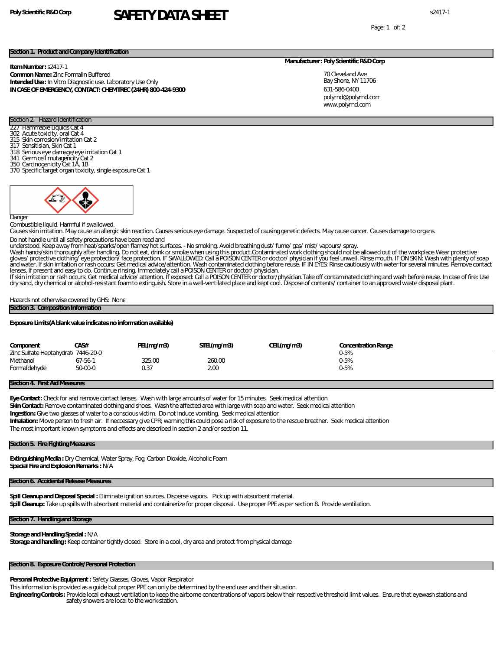# **Poly Scientific R&D Corp** s2417-1 **SAFETY DATA SHEET**

Page: 1 of: 2

### **Section 1. Product and Company Identification**

**Item Number:** s2417-1 **Common Name:** Zinc Formalin Buffered **Intended Use:** In Vitro Diagnostic use. Laboratory Use Only **IN CASE OF EMERGENCY, CONTACT: CHEMTREC (24HR) 800-424-9300**

#### **Manufacturer: Poly Scientific R&D Corp**

70 Cleveland Ave Bay Shore, NY 11706 631-586-0400 www.polyrnd.com polyrnd@polyrnd.com

## Section 2. Hazard Identification **Flammable Liquids Cat 4**

- 302 Acute toxicity, oral Cat 4
- 315 Skin corrosion/irritation Cat 2
- 317 Sensitisian, Skin Cat 1
- 318 Serious eye damage/eye irritation Cat 1 341 Germ cell mutagencity Cat 2 350 Carcinogenicity Cat 1A, 1B
- 
- 370 Specific target organ toxicity, single exposure Cat 1



#### **Danger**

Combustible liquid. Harmful if swallowed.

Causes skin irritation. May cause an allergic skin reaction. Causes serious eye damage. Suspected of causing genetic defects. May cause cancer. Causes damage to organs. Do not handle until all safety precautions have been read and

understood. Keep away from heat/sparks/open flames/hot surfaces - No smoking. Avoid breathing dust/ fume/ gas/ mist/ vapours/ spray.<br>Wash hands/skin thoroughly after handling. Do not eat, drink or smoke when using this pro and water. If skin irritation or rash occurs: Get medical advice/attention. Wash contaminated clothing before reuse. IF IN EYES: Rinse cautiously with water for several minutes. Remove contact lenses, if present and easy to do. Continue rinsing. Immediately call a POISON CENTER or doctor/ physician.

If skin irritation or rash occurs: Get medical advice/ attention. If exposed: Call a POISON CENTER or doctor/physician.Take off contaminated clothing and wash before reuse. In case of fire: Use dry sand, dry chemical or alcohol-resistant foam to extinguish. Store in a well-ventilated place and kept cool. Dispose of contents/ container to an approved waste disposal plant.

Hazards not otherwise covered by GHS: None

#### **Section 3. Composition Information**

**Exposure Limits(A blank value indicates no information available)**

| Component<br>Zinc Sulfate Heptahydrati 7446-20-0 | CAS#    | PEL(mq/m3) | STEL(mg/m3) | CEIL(mg/m3) | Concentration Range<br>$0 - 5%$ |
|--------------------------------------------------|---------|------------|-------------|-------------|---------------------------------|
| Methanol                                         | 67-56-1 | 325.00     | 260.00      |             | 0-5%                            |
| Formaldehyde                                     | 50-00-0 | 0.37       | 2.00        |             | 0-5%                            |

## **Section 4. First Aid Measures**

**Eye Contact:** Check for and remove contact lenses. Wash with large amounts of water for 15 minutes. Seek medical attention.

**Skin Contact:** Remove contaminated clothing and shoes. Wash the affected area with large with soap and water. Seek medical attention

**Ingestion:** Give two glasses of water to a conscious victim. Do not induce vomiting. Seek medical attention

**Inhalation:** Move person to fresh air. If neccessary give CPR; warning this could pose a risk of exposure to the rescue breather. Seek medical attention

The most important known symptoms and effects are described in section 2 and/or section 11.

# **Section 5. Fire Fighting Measures**

**Extinguishing Media :** Dry Chemical, Water Spray, Fog, Carbon Dioxide, Alcoholic Foam **Special Fire and Explosion Remarks :** N/A

## **Section 6. Accidental Release Measures**

**Spill Cleanup and Disposal Special :** Eliminate ignition sources. Disperse vapors. Pick up with absorbent material. **Spill Cleanup:** Take up spills with absorbant material and containerize for proper disposal. Use proper PPE as per section 8. Provide ventilation.

## **Section 7. Handling and Storage**

**Storage and Handling Special :** N/A **Storage and handling :** Keep container tightly closed. Store in a cool, dry area and protect from physical damage

# **Section 8. Exposure Controls/Personal Protection**

**Personal Protective Equipment :** Safety Glasses, Gloves, Vapor Respirator

This information is provided as a guide but proper PPE can only be determined by the end user and their situation.

**Engineering Controls:** Provide local exhaust ventilation to keep the airborne concentrations of vapors below their respective threshold limit values. Ensure that eyewash stations and safety showers are local to the work-station.